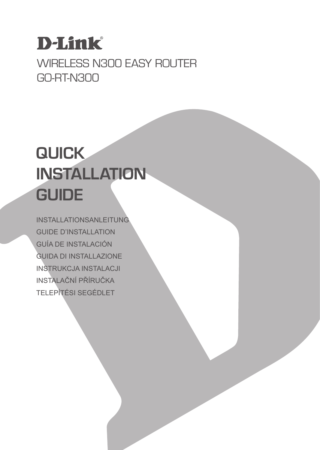# **D-Link**

# WIRELESS N300 FASY ROUTER GO-RT-N300

# **QUICK INSTALLATION GUIDE**

INSTALLATIONSANLEITUNG GUIDE D'INSTALLATION GUÍA DE INSTALACIÓN GUIDA DI INSTALLAZIONE INSTRUKCJA INSTALACJI INSTALAČNÍ PŘÍRUČKA TELEPÍTÉSI SEGÉDLET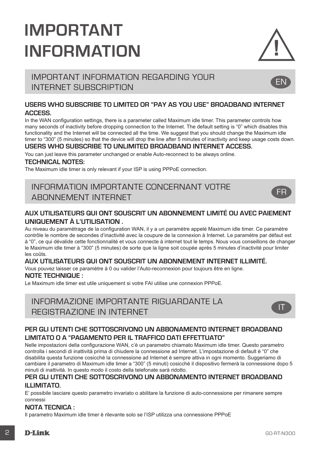# **IMPORTANT INFORMATION**



EN

FR

# IMPORTANT INFORMATION REGARDING YOUR INTERNET SUBSCRIPTION

#### **USERS WHO SUBSCRIBE TO LIMITED OR "PAY AS YOU USE" BROADBAND INTERNET ACCESS.**

In the WAN configuration settings, there is a parameter called Maximum idle timer. This parameter controls how many seconds of inactivity before dropping connection to the Internet. The default setting is "0" which disables this functionality and the Internet will be connected all the time. We suggest that you should change the Maximum idle timer to "300" (5 minutes) so that the device will drop the line after 5 minutes of inactivity and keep usage costs down.

#### **USERS WHO SUBSCRIBE TO UNLIMITED BROADBAND INTERNET ACCESS.**

You can just leave this parameter unchanged or enable Auto-reconnect to be always online.

#### **TECHNICAL NOTES:**

The Maximum idle timer is only relevant if your ISP is using PPPoE connection.

### INFORMATION IMPORTANTE CONCERNANT VOTRE ABONNEMENT INTERNET

#### **AUX UTILISATEURS QUI ONT SOUSCRIT UN ABONNEMENT LIMITÉ OU AVEC PAIEMENT UNIQUEMENT À L'UTILISATION .**

Au niveau du paramétrage de la configuration WAN, il y a un paramètre appelé Maximum idle timer. Ce paramètre contrôle le nombre de secondes d'inactivité avec la coupure de la connexion à Internet. Le paramètre par défaut est à "0", ce qui dévalide cette fonctionnalité et vous connecte à internet tout le temps. Nous vous conseillons de changer le Maximum idle timer à "300" (5 minutes) de sorte que la ligne soit coupée après 5 minutes d'inactivité pour limiter les coûts.

#### **AUX UTILISATEURS QUI ONT SOUSCRIT UN ABONNEMENT INTERNET ILLIMITÉ.**

Vous pouvez laisser ce paramètre à 0 ou valider l'Auto-reconnexion pour toujours être en ligne.

#### **NOTE TECHNIQUE :**

Le Maximum idle timer est utile uniquement si votre FAI utilise une connexion PPPoE.

# INFORMAZIONE IMPORTANTE RIGUARDANTE LA REGISTRAZIONE IN INTERNET



#### **PER GLI UTENTI CHE SOTTOSCRIVONO UN ABBONAMENTO INTERNET BROADBAND LIMITATO O A "PAGAMENTO PER IL TRAFFICO DATI EFFETTUATO"**

Nelle impostazioni della configurazione WAN, c'è un parametro chiamato Maximum idle timer. Questo parametro controlla i secondi di inattività prima di chiudere la connessione ad Internet. L'impostazione di default è "0" che disabilita questa funzione cosicché la connessione ad Internet è sempre attiva in ogni momento. Suggeriamo di cambiare il parametro di Maximum idle timer a "300" (5 minuti) cosicché il dispositivo fermerà la connessione dopo 5 minuti di inattività. In questo modo il costo della telefonate sarà ridotto.

#### **PER GLI UTENTI CHE SOTTOSCRIVONO UN ABBONAMENTO INTERNET BROADBAND ILLIMITATO.**

E' possibile lasciare questo parametro invariato o abilitare la funzione di auto-connessione per rimanere sempre connessi

#### **NOTA TECNICA :**

Il parametro Maximum idle timer è rilevante solo se l'ISP utilizza una connessione PPPoE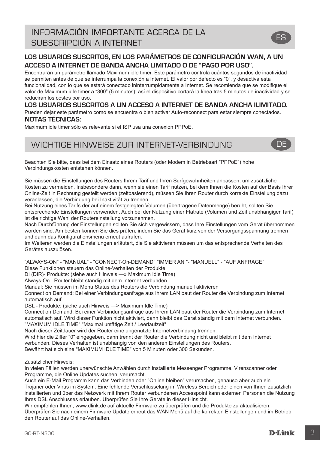#### **LOS USUARIOS SUSCRITOS, EN LOS PARÁMETROS DE CONFIGURACIÓN WAN, A UN ACCESO A INTERNET DE BANDA ANCHA LIMITADO O DE "PAGO POR USO".**

Encontrarán un parámetro llamado Maximum idle timer. Este parámetro controla cuántos segundos de inactividad se permiten antes de que se interrumpa la conexión a Internet. El valor por defecto es "0", y desactiva esta funcionalidad, con lo que se estará conectado ininterrumpidamente a Internet. Se recomienda que se modifique el valor de Maximum idle timer a "300" (5 minutos); así el dispositivo cortará la línea tras 5 minutos de inactividad y se reducirán los costes por uso.

**LOS USUARIOS SUSCRITOS A UN ACCESO A INTERNET DE BANDA ANCHA ILIMITADO.** 

Pueden dejar este parámetro como se encuentra o bien activar Auto-reconnect para estar siempre conectados. **NOTAS TÉCNICAS:**

Maximum idle timer sólo es relevante si el ISP usa una conexión PPPoE.

### WICHTIGE HINWEISE ZUR INTERNET-VERBINDUNG **DE**

Beachten Sie bitte, dass bei dem Einsatz eines Routers (oder Modem in Betriebsart "PPPoE") hohe Verbindungskosten entstehen können.

Sie müssen die Einstellungen des Routers Ihrem Tarif und Ihren Surfgewohnheiten anpassen, um zusätzliche Kosten zu vermeiden. Insbesondere dann, wenn sie einen Tarif nutzen, bei dem Ihnen die Kosten auf der Basis Ihrer Online-Zeit in Rechnung gestellt werden (zeitbasierend), müssen Sie Ihren Router durch korrekte Einstellung dazu veranlassen, die Verbindung bei Inaktivität zu trennen.

Bei Nutzung eines Tarifs der auf einem festgelegten Volumen (übertragene Datenmenge) beruht, sollten Sie entsprechende Einstellungen verwenden. Auch bei der Nutzung einer Flatrate (Volumen und Zeit unabhängiger Tarif) ist die richtige Wahl der Routereinstellung vorzunehmen.

Nach Durchführung der Einstellungen sollten Sie sich vergewissern, dass Ihre Einstellungen vom Gerät übernommen worden sind. Am besten können Sie dies prüfen, indem Sie das Gerät kurz von der Versorgungsspannung trennen und dann das Konfigurationsmenü erneut aufrufen.

Im Weiteren werden die Einstellungen erläutert, die Sie aktivieren müssen um das entsprechende Verhalten des Gerätes auszulösen.

"ALWAYS-ON" - "MANUAL" - "CONNECT-On-DEMAND" "IMMER AN "- "MANUELL" - "AUF ANFRAGE"

Diese Funktionen steuern das Online-Verhalten der Produkte:

DI (DIR)- Produkte: (siehe auch Hinweis —» Maximum Idle Time)

Always-On : Router bleibt ständig mit dem Internet verbunden

Manual: Sie müssen im Menu Status des Routers die Verbindung manuell aktivieren

Connect on Demand: Bei einer Verbindungsanfrage aus Ihrem LAN baut der Router die Verbindung zum Internet automatisch auf.

DSL - Produkte: (siehe auch Hinweis —> Maximum Idle Time)

Connect on Demand: Bei einer Verbindungsanfrage aus Ihrem LAN baut der Router die Verbindung zum Internet automatisch auf. Wird dieser Funktion nicht aktiviert, dann bleibt das Gerat ständig mit dem Internet verbunden. "MAXIMUM IDLE TIME" "Maximal untätige Zeit / Leerlaufzeit"

Nach dieser Zeitdauer wird der Router eine ungenutzte Internetverbindung trennen.

Wird hier die Ziffer "0" eingegeben, dann trennt der Router die Verbindung nicht und bleibt mit dem Internet verbunden. Dieses Verhalten ist unabhängig von den anderen Einstellungen des Routers.

Bewährt hat sich eine "MAXIMUM IDLE TIME" von 5 Minuten oder 300 Sekunden.

Zusätzlicher Hinweis:

In vielen Fällen werden unerwünschte Anwählen durch installierte Messenger Programme, Virenscanner oder Programme, die Online Updates suchen, verursacht.

Auch ein E-Mail Programm kann das Verbinden oder "Online bleiben" verursachen, genauso aber auch ein Trojaner oder Virus im System. Eine fehlende Verschlüsselung im Wireless Bereich oder einen von Ihnen zusätzlich installierten und über das Netzwerk mit Ihrem Router verbundenen Accesspoint kann externen Personen die Nutzung Ihres DSL Anschlusses erlauben. Überprüfen Sie Ihre Geräte in dieser Hinsicht.

Wir empfehlen Ihnen, www.dlink.de auf aktuelle Firmware zu überprüfen und die Produkte zu aktualisieren. Überprüfen Sie nach einem Firmware Update erneut das WAN Menü auf die korrekten Einstellungen und im Betrieb den Router auf das Online-Verhalten.

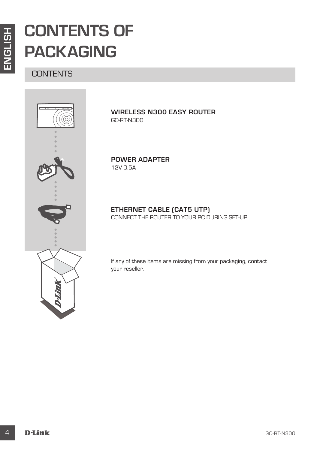# **CONTENTS OF PACKAGING**

**CONTENTS** 



**WIRELESS N300 EASY ROUTER** GO-RT-N300

**POWER ADAPTER** 12V 0.5A

### **ETHERNET CABLE (CAT5 UTP)**

CONNECT THE ROUTER TO YOUR PC DURING SET-UP

If any of these items are missing from your packaging, contact your reseller.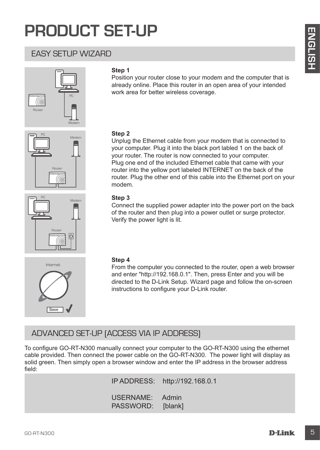# **PRODUCT SET-UP**

### EASY SETUP WIZARD







#### **Step 1**

Position your router close to your modem and the computer that is already online. Place this router in an open area of your intended work area for better wireless coverage.

#### **Step 2**

EXACT OF WIZARD<br>
EXACT SETUP WIZARD<br>
Step 1<br>
<sup>Step</sup> <sup>2</sup><br>
<sup>Step 2</sup><br>
<sup>Step 2</sup><br>
which was the state between two density on the computer that is<br>
which was the between two density concerns and the computer of the state<br>
step 2 Unplug the Ethernet cable from your modem that is connected to your computer. Plug it into the black port labled 1 on the back of your router. The router is now connected to your computer. Plug one end of the included Ethernet cable that came with your router into the yellow port labeled INTERNET on the back of the router. Plug the other end of this cable into the Ethernet port on your modem.

#### **Step 3**

Connect the supplied power adapter into the power port on the back of the router and then plug into a power outlet or surge protector. Verify the power light is lit.



#### **Step 4**

From the computer you connected to the router, open a web browser and enter "http://192.168.0.1". Then, press Enter and you will be directed to the D-Link Setup. Wizard page and follow the on-screen instructions to configure your D-Link router.

### ADVANCED SET-UP (ACCESS VIA IP ADDRESS)

To configure GO-RT-N300 manually connect your computer to the GO-RT-N300 using the ethernet cable provided. Then connect the power cable on the GO-RT-N300. The power light will display as solid green. Then simply open a browser window and enter the IP address in the browser address field:

> IP ADDRESS: http://192.168.0.1 USERNAME: Admin PASSWORD: [blank]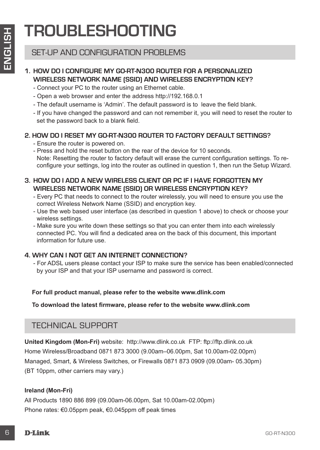# **TROUBLESHOOTING**

### SET-UP AND CONFIGURATION PROBLEMS

#### **1. HOW DO I CONFIGURE MY GO-RT-N300 ROUTER FOR A PERSONALIZED WIRELESS NETWORK NAME (SSID) AND WIRELESS ENCRYPTION KEY?**

- Connect your PC to the router using an Ethernet cable.
- Open a web browser and enter the address http://192.168.0.1
- The default username is 'Admin'. The default password is to leave the field blank.
- If you have changed the password and can not remember it, you will need to reset the router to set the password back to a blank field.

#### **2. HOW DO I RESET MY GO-RT-N300 ROUTER TO FACTORY DEFAULT SETTINGS?**

- Ensure the router is powered on.
- Press and hold the reset button on the rear of the device for 10 seconds. Note: Resetting the router to factory default will erase the current configuration settings. To reconfigure your settings, log into the router as outlined in question 1, then run the Setup Wizard.
- **3. HOW DO I ADD A NEW WIRELESS CLIENT OR PC IF I HAVE FORGOTTEN MY WIRELESS NETWORK NAME (SSID) OR WIRELESS ENCRYPTION KEY?**
	- Every PC that needs to connect to the router wirelessly, you will need to ensure you use the correct Wireless Network Name (SSID) and encryption key.
	- Use the web based user interface (as described in question 1 above) to check or choose your wireless settings.
	- Make sure you write down these settings so that you can enter them into each wirelessly connected PC. You will find a dedicated area on the back of this document, this important information for future use.

#### **4. WHY CAN I NOT GET AN INTERNET CONNECTION?**

- For ADSL users please contact your ISP to make sure the service has been enabled/connected by your ISP and that your ISP username and password is correct.

#### **For full product manual, please refer to the website www.dlink.com**

**To download the latest firmware, please refer to the website www.dlink.com**

### TECHNICAL SUPPORT

**EXECUTIVE STATE AND CONFIGURATION PROBLEMS**<br>
SET-UP AND CONFIGURATION PROBLEMS<br>
WIRELESS NETWORK NAME (SSID) AND WIRELESS FROF APERSONALIZED<br>
WIRELESS NETWORK NAME (SSID) AND WIRELESS FROF APPITON KEY?<br>
Comes verb browser **United Kingdom (Mon-Fri)** website: http://www.dlink.co.uk FTP: ftp://ftp.dlink.co.uk Home Wireless/Broadband 0871 873 3000 (9.00am–06.00pm, Sat 10.00am-02.00pm) Managed, Smart, & Wireless Switches, or Firewalls 0871 873 0909 (09.00am- 05.30pm) (BT 10ppm, other carriers may vary.)

#### **Ireland (Mon-Fri)**

All Products 1890 886 899 (09.00am-06.00pm, Sat 10.00am-02.00pm) Phone rates: €0.05ppm peak, €0.045ppm off peak times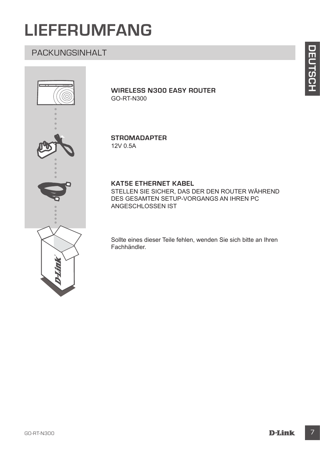# **LIEFERUMFANG**

# PACKUNGSINHALT



**WIRELESS N300 EASY ROUTER** GO-RT-N300

**STROMADAPTER** 12V 0.5A

#### **KAT5E ETHERNET KABEL**

STELLEN SIE SICHER, DAS DER DEN ROUTER WÄHREND DES GESAMTEN SETUP-VORGANGS AN IHREN PC ANGESCHLOSSEN IST

Sollte eines dieser Teile fehlen, wenden Sie sich bitte an Ihren Fachhändler.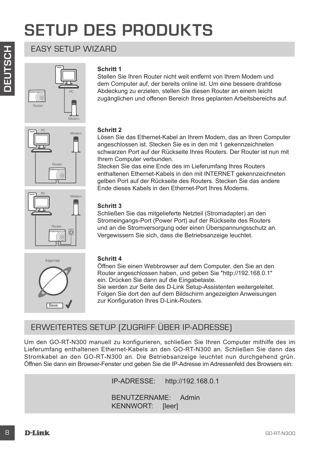# **SETUP DES PRODUKTS**

# EASY SETUP WIZARD









**Schritt 1**

#### **Schritt 2**

Lösen Sie das Ethernet-Kabel an Ihrem Modem, das an Ihren Computer angeschlossen ist. Stecken Sie es in den mit 1 gekennzeichneten schwarzen Port auf der Rückseite Ihres Routers. Der Router ist nun mit Ihrem Computer verbunden.

Stellen Sie Ihren Router nicht weit entfernt von Ihrem Modem und dem Computer auf, der bereits online ist. Um eine bessere drahtlose Abdeckung zu erzielen, stellen Sie diesen Router an einem leicht zugänglichen und offenen Bereich Ihres geplanten Arbeitsbereichs auf.

Stecken Sie das eine Ende des im Lieferumfang Ihres Routers enthaltenen Ethernet-Kabels in den mit INTERNET gekennzeichneten gelben Port auf der Rückseite des Routers. Stecken Sie das andere Ende dieses Kabels in den Ethernet-Port Ihres Modems.

#### **Schritt 3**

Schließen Sie das mitgelieferte Netzteil (Stromadapter) an den Stromeingangs-Port (Power Port) auf der Rückseite des Routers und an die Stromversorgung oder einen Überspannungsschutz an. Vergewissern Sie sich, dass die Betriebsanzeige leuchtet.



#### **Schritt 4**

Öffnen Sie einen Webbrowser auf dem Computer, den Sie an den Router angeschlossen haben, und geben Sie "http://192.168.0.1" ein. Drücken Sie dann auf die Eingabetaste.

Sie werden zur Seite des D-Link Setup-Assistenten weitergeleitet. Folgen Sie dort den auf dem Bildschirm angezeigten Anweisungen zur Konfiguration Ihres D-Link-Routers.

# ERWEITERTES SETUP (ZUGRIFF ÜBER IP-ADRESSE)

EASY SETUP WIZARE<br>
Shorter the Router nicht weit entfernt von ihrem Modern und<br>
den Computer and, der bereist colles a busine time asset winner bestein<br>
Absolution gian entime for the test stars and the main entime for the Um den GO-RT-N300 manuell zu konfigurieren, schließen Sie Ihren Computer mithilfe des im Lieferumfang enthaltenen Ethernet-Kabels an den GO-RT-N300 an. Schließen Sie dann das Stromkabel an den GO-RT-N300 an. Die Betriebsanzeige leuchtet nun durchgehend grün. Öffnen Sie dann ein Browser-Fenster und geben Sie die IP-Adresse im Adressenfeld des Browsers ein:

IP-ADRESSE: http://192.168.0.1

BENUTZERNAME: Admin KENNWORT: [leer]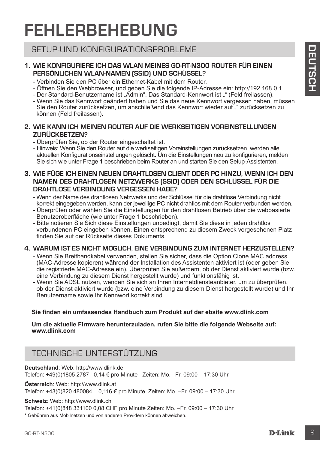# **FEHLERBEHEBUNG**

### SETUP-UND KONFIGURATIONSPROBLEME

#### **1. WIE KONFIGURIERE ICH DAS WLAN MEINES GO-RT-N300 ROUTER FÜR EINEN PERSÖNLICHEN WLAN-NAMEN (SSID) UND SCHÜSSEL?**

- Verbinden Sie den PC über ein Ethernet-Kabel mit dem Router.
- Öffnen Sie den Webbrowser, und geben Sie die folgende IP-Adresse ein: http://192.168.0.1.
- Der Standard-Benutzername ist "Admin". Das Standard-Kennwort ist "" (Feld freilassen).
- Wenn Sie das Kennwort geändert haben und Sie das neue Kennwort vergessen haben, müssen Sie den Router zurücksetzen, um anschließend das Kennwort wieder auf "" zurücksetzen zu können (Feld freilassen).

#### **2. WIE KANN ICH MEINEN ROUTER AUF DIE WERKSEITIGEN VOREINSTELLUNGEN ZURÜCKSETZEN?**

- Überprüfen Sie, ob der Router eingeschaltet ist.
- Hinweis: Wenn Sie den Router auf die werkseitigen Voreinstellungen zurücksetzen, werden alle aktuellen Konfigurationseinstellungen gelöscht. Um die Einstellungen neu zu konfigurieren, melden Sie sich wie unter Frage 1 beschrieben beim Router an und starten Sie den Setup-Assistenten.

#### **3. WIE FÜGE ICH EINEN NEUEN DRAHTLOSEN CLIENT ODER PC HINZU, WENN ICH DEN NAMEN DES DRAHTLOSEN NETZWERKS (SSID) ODER DEN SCHLÜSSEL FÜR DIE DRAHTLOSE VERBINDUNG VERGESSEN HABE?**

- Wenn der Name des drahtlosen Netzwerks und der Schlüssel für die drahtlose Verbindung nicht korrekt eingegeben werden, kann der jeweilige PC nicht drahtlos mit dem Router verbunden werden.
- Überprüfen oder wählen Sie die Einstellungen für den drahtlosen Betrieb über die webbasierte Benutzeroberfläche (wie unter Frage 1 beschrieben).
- Bitte notieren Sie Sich diese Einstellungen unbedingt, damit Sie diese in jeden drahtlos verbundenen PC eingeben können. Einen entsprechend zu diesem Zweck vorgesehenen Platz finden Sie auf der Rückseite dieses Dokuments.

#### **4. WARUM IST ES NICHT MÖGLICH, EINE VERBINDUNG ZUM INTERNET HERZUSTELLEN?**

- SETUP-UND KONFIGURATIONSPROBLEM<br>
T. W. KONFIGURATIONSPROBLEM<br>
FERSONNICHER DE NOMAN MENIS GOFIN AND CHINE<br>
FERSONNICHER DE NOMAN MENIS GOFIN AND CHINE<br>
FERSONNICHER DE NOMAN MENIS GOFIN DE SEU DE VERSE DE NOMAN CHINE<br>
TO C - Wenn Sie Breitbandkabel verwenden, stellen Sie sicher, dass die Option Clone MAC address (MAC-Adresse kopieren) während der Installation des Assistenten aktiviert ist (oder geben Sie die registrierte MAC-Adresse ein). Überprüfen Sie außerdem, ob der Dienst aktiviert wurde (bzw. eine Verbindung zu diesem Dienst hergestellt wurde) und funktionsfähig ist.
	- Wenn Sie ADSL nutzen, wenden Sie sich an Ihren Internetdiensteanbieter, um zu überprüfen, ob der Dienst aktiviert wurde (bzw. eine Verbindung zu diesem Dienst hergestellt wurde) und Ihr Benutzername sowie Ihr Kennwort korrekt sind.

#### **Sie finden ein umfassendes Handbuch zum Produkt auf der ebsite www.dlink.com**

**Um die aktuelle Firmware herunterzuladen, rufen Sie bitte die folgende Webseite auf: www.dlink.com**

## TECHNISCHE UNTERSTÜTZUNG

**Deutschland**: Web: http://www.dlink.de

Telefon: +49(0)1805 2787 0,14 € pro Minute Zeiten: Mo. –Fr. 09:00 – 17:30 Uhr **Österreich**: Web: http://www.dlink.at

Telefon: +43(0)820 480084 0,116 € pro Minute Zeiten: Mo. –Fr. 09:00 – 17:30 Uhr

**Schweiz**: Web: http://www.dlink.ch

Telefon: +41(0)848 331100 0,08 CHF pro Minute Zeiten: Mo. –Fr. 09:00 – 17:30 Uhr

\* Gebühren aus Mobilnetzen und von anderen Providern können abweichen.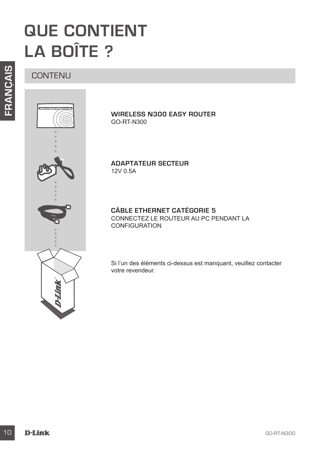# **QUE CONTIENT LA BOÎTE ?**

**CONTENUL** 



**WIRELESS N300 EASY ROUTER** GO-RT-N300

**ADAPTATEUR SECTEUR** 12V 0.5A

#### **CÂBLE ETHERNET CATÉGORIE 5**  CONNECTEZ LE ROUTEUR AU PC PENDANT LA CONFIGURATION

Si l'un des éléments ci-dessus est manquant, veuillez contacter votre revendeur.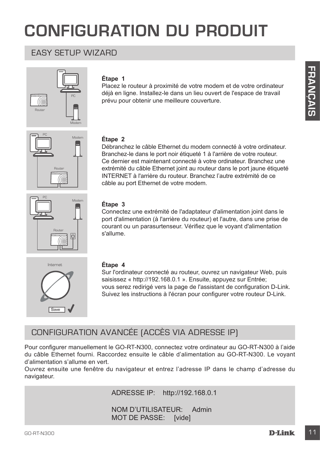# **CONFIGURATION DU PRODUIT**

### EASY SETUP WIZARD



#### **Étape 1**

Placez le routeur à proximité de votre modem et de votre ordinateur déjà en ligne. Installez-le dans un lieu ouvert de l'espace de travail prévu pour obtenir une meilleure couverture.



#### **Étape 2**

Equal to the control of experiments of experiments of the control of the control of the control of the control of the control of the control of the control of the control of the control of the control of the control of the Débranchez le câble Ethernet du modem connecté à votre ordinateur. Branchez-le dans le port noir étiqueté 1 à l'arrière de votre routeur. Ce dernier est maintenant connecté à votre ordinateur. Branchez une extrémité du câble Ethernet joint au routeur dans le port jaune étiqueté INTERNET à l'arrière du routeur. Branchez l'autre extrémité de ce câble au port Ethernet de votre modem.



#### **Étape 3**

Connectez une extrémité de l'adaptateur d'alimentation joint dans le port d'alimentation (à l'arrière du routeur) et l'autre, dans une prise de courant ou un parasurtenseur. Vérifiez que le voyant d'alimentation s'allume.



#### **Étape 4**

Sur l'ordinateur connecté au routeur, ouvrez un navigateur Web, puis saisissez « http://192.168.0.1 ». Ensuite, appuyez sur Entrée; vous serez redirigé vers la page de l'assistant de configuration D-Link. Suivez les instructions à l'écran pour configurer votre routeur D-Link.

# CONFIGURATION AVANCÉE (ACCÈS VIA ADRESSE IP)

Pour configurer manuellement le GO-RT-N300, connectez votre ordinateur au GO-RT-N300 à l'aide du câble Ethernet fourni. Raccordez ensuite le câble d'alimentation au GO-RT-N300. Le voyant d'alimentation s'allume en vert.

Ouvrez ensuite une fenêtre du navigateur et entrez l'adresse IP dans le champ d'adresse du navigateur.

ADRESSE IP: http://192.168.0.1

NOM D'UTILISATEUR: Admin MOT DE PASSE: [vide]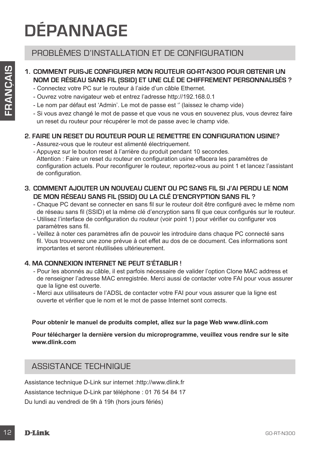# **DÉPANNAGE**

### PROBLÈMES D'INSTALLATION ET DE CONFIGURATION

#### **1. COMMENT PUIS-JE CONFIGURER MON ROUTEUR GO-RT-N300 POUR OBTENIR UN NOM DE RÉSEAU SANS FIL (SSID) ET UNE CLÉ DE CHIFFREMENT PERSONNALISÉS ?**

- Connectez votre PC sur le routeur à l'aide d'un câble Ethernet.
- Ouvrez votre navigateur web et entrez l'adresse http://192.168.0.1
- Le nom par défaut est 'Admin'. Le mot de passe est '' (laissez le champ vide)
- Si vous avez changé le mot de passe et que vous ne vous en souvenez plus, vous devrez faire un reset du routeur pour récupérer le mot de passe avec le champ vide.

#### **2. FAIRE UN RESET DU ROUTEUR POUR LE REMETTRE EN CONFIGURATION USINE?**

- Assurez-vous que le routeur est alimenté électriquement.
- 12 COMMENT PUIS-LE COMPIEURER MONTELIE RESONALISES ?<br>
12 COMPENE CHE COMPIEURER MONTELIES OF THE RESONALISES ?<br>
Comete exter to Poi the fortest of also estimates the memoir of a comparison points.<br>
Comete with external int - Appuyez sur le bouton reset à l'arrière du produit pendant 10 secondes. Attention : Faire un reset du routeur en configuration usine effacera les paramètres de configuration actuels. Pour reconfigurer le routeur, reportez-vous au point 1 et lancez l'assistant de configuration.
	- **3. COMMENT AJOUTER UN NOUVEAU CLIENT OU PC SANS FIL SI J'AI PERDU LE NOM DE MON RÉSEAU SANS FIL (SSID) OU LA CLÉ D'ENCRYPTION SANS FIL ?**
		- Chaque PC devant se connecter en sans fil sur le routeur doit être configuré avec le même nom de réseau sans fil (SSID) et la même clé d'encryption sans fil que ceux configurés sur le routeur.
		- Utilisez l'interface de configuration du routeur (voir point 1) pour vérifier ou configurer vos paramètres sans fil.
		- Veillez à noter ces paramètres afin de pouvoir les introduire dans chaque PC connecté sans fil. Vous trouverez une zone prévue à cet effet au dos de ce document. Ces informations sont importantes et seront réutilisées ultérieurement.

#### **4. MA CONNEXION INTERNET NE PEUT S'ÉTABLIR !**

- Pour les abonnés au câble, il est parfois nécessaire de valider l'option Clone MAC address et de renseigner l'adresse MAC enregistrée. Merci aussi de contacter votre FAI pour vous assurer que la ligne est ouverte.
- Merci aux utilisateurs de l'ADSL de contacter votre FAI pour vous assurer que la ligne est ouverte et vérifier que le nom et le mot de passe Internet sont corrects.

#### **Pour obtenir le manuel de produits complet, allez sur la page Web www.dlink.com**

#### **Pour télécharger la dernière version du microprogramme, veuillez vous rendre sur le site www.dlink.com**

### ASSISTANCE TECHNIQUE

Assistance technique D-Link sur internet :http://www.dlink.fr Assistance technique D-Link par téléphone : 01 76 54 84 17 Du lundi au vendredi de 9h à 19h (hors jours fériés)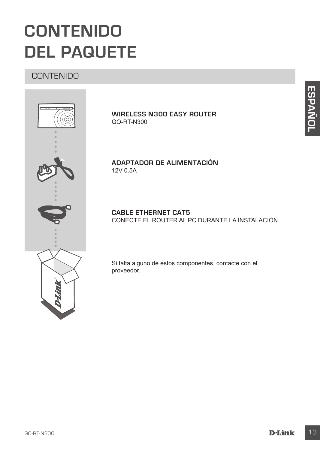# **CONTENIDO DEL PAQUETE**

# **CONTENIDO**



**WIRELESS N300 EASY ROUTER** GO-RT-N300

#### **ADAPTADOR DE ALIMENTACIÓN** 12V 0.5A

#### **CABLE ETHERNET CAT5** CONECTE EL ROUTER AL PC DURANTE LA INSTALACIÓN

Si falta alguno de estos componentes, contacte con el proveedor.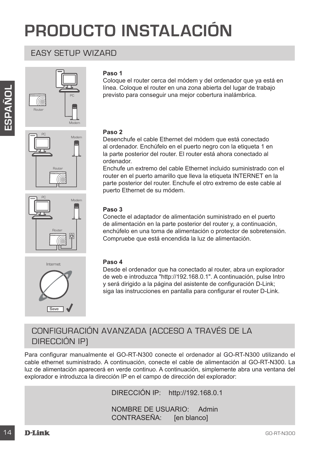# **PRODUCTO INSTALACIÓN**

### EASY SETUP WIZARD







Internet

Save

#### **Paso 1**

Coloque el router cerca del módem y del ordenador que ya está en línea. Coloque el router en una zona abierta del lugar de trabajo previsto para conseguir una mejor cobertura inalámbrica.

#### **Paso 2**

Desenchufe el cable Ethernet del módem que está conectado al ordenador. Enchúfelo en el puerto negro con la etiqueta 1 en la parte posterior del router. El router está ahora conectado al ordenador.

Enchufe un extremo del cable Ethernet incluido suministrado con el router en el puerto amarillo que lleva la etiqueta INTERNET en la parte posterior del router. Enchufe el otro extremo de este cable al puerto Ethernet de su módem.

#### **Paso 3**

Conecte el adaptador de alimentación suministrado en el puerto de alimentación en la parte posterior del router y, a continuación, enchúfelo en una toma de alimentación o protector de sobretensión. Compruebe que está encendida la luz de alimentación.

#### **Paso 4**

Desde el ordenador que ha conectado al router, abra un explorador de web e introduzca "http://192.168.0.1". A continuación, pulse Intro y será dirigido a la página del asistente de configuración D-Link; siga las instrucciones en pantalla para configurar el router D-Link.

# CONFIGURACIÓN AVANZADA (ACCESO A TRAVÉS DE LA DIRECCIÓN IP)

These colorel et order a una zona a bien de luite a delugar de trabajo de luite a mercial de luite a mercial de la consequir una mejor cobertura instalantica.<br>
The particular consequent in a metric consequent in a metric c Para configurar manualmente el GO-RT-N300 conecte el ordenador al GO-RT-N300 utilizando el cable ethernet suministrado. A continuación, conecte el cable de alimentación al GO-RT-N300. La luz de alimentación aparecerá en verde continuo. A continuación, simplemente abra una ventana del explorador e introduzca la dirección IP en el campo de dirección del explorador:

DIRECCIÓN IP: http://192.168.0.1

NOMBRE DE USUARIO: Admin CONTRASEÑA: [en blanco]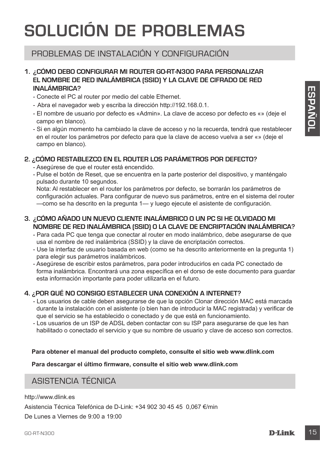# **SOLUCIÓN DE PROBLEMAS**

# PROBLEMAS DE INSTALACIÓN Y CONFIGURACIÓN

#### **1. ¿CÓMO DEBO CONFIGURAR MI ROUTER GO-RT-N300 PARA PERSONALIZAR EL NOMBRE DE RED INALÁMBRICA (SSID) Y LA CLAVE DE CIFRADO DE RED INALÁMBRICA?**

- Conecte el PC al router por medio del cable Ethernet.
- Abra el navegador web y escriba la dirección http://192.168.0.1.
- El nombre de usuario por defecto es «Admin». La clave de acceso por defecto es «» (deje el campo en blanco).
- Si en algún momento ha cambiado la clave de acceso y no la recuerda, tendrá que restablecer en el router los parámetros por defecto para que la clave de acceso vuelva a ser «» (deje el campo en blanco).

#### **2. ¿CÓMO RESTABLEZCO EN EL ROUTER LOS PARÁMETROS POR DEFECTO?**

- Asegúrese de que el router está encendido.
- Pulse el botón de Reset, que se encuentra en la parte posterior del dispositivo, y manténgalo pulsado durante 10 segundos.

Nota: Al restablecer en el router los parámetros por defecto, se borrarán los parámetros de configuración actuales. Para configurar de nuevo sus parámetros, entre en el sistema del router —como se ha descrito en la pregunta 1— y luego ejecute el asistente de configuración.

#### **3. ¿CÓMO AÑADO UN NUEVO CLIENTE INALÁMBRICO O UN PC SI HE OLVIDADO MI NOMBRE DE RED INALÁMBRICA (SSID) O LA CLAVE DE ENCRIPTACIÓN INALÁMBRICA?**

- Para cada PC que tenga que conectar al router en modo inalámbrico, debe asegurarse de que usa el nombre de red inalámbrica (SSID) y la clave de encriptación correctos.
- Use la interfaz de usuario basada en web (como se ha descrito anteriormente en la pregunta 1) para elegir sus parámetros inalámbricos.
- Asegúrese de escribir estos parámetros, para poder introducirlos en cada PC conectado de forma inalámbrica. Encontrará una zona específica en el dorso de este documento para guardar esta información importante para poder utilizarla en el futuro.

#### **4. ¿POR QUÉ NO CONSIGO ESTABLECER UNA CONEXIÓN A INTERNET?**

- INALAMPENCA?<br>
Conocle el PC al nouter por medio del cable Elhemet.<br>
 Conocle el PC al nouter por medio del cable Elhemet.<br>
 El mombre de usuano por defecto es «Admin». La diservé el access por defecto es «» (deje el<br>
 E - Los usuarios de cable deben asegurarse de que la opción Clonar dirección MAC está marcada durante la instalación con el asistente (o bien han de introducir la MAC registrada) y verificar de que el servicio se ha establecido o conectado y de que está en funcionamiento.
	- Los usuarios de un ISP de ADSL deben contactar con su ISP para asegurarse de que les han habilitado o conectado el servicio y que su nombre de usuario y clave de acceso son correctos.

#### **Para obtener el manual del producto completo, consulte el sitio web www.dlink.com**

**Para descargar el último firmware, consulte el sitio web www.dlink.com**

### ASISTENCIA TÉCNICA

http://www.dlink.es

Asistencia Técnica Telefónica de D-Link: +34 902 30 45 45 0,067 €/min

De Lunes a Viernes de 9:00 a 19:00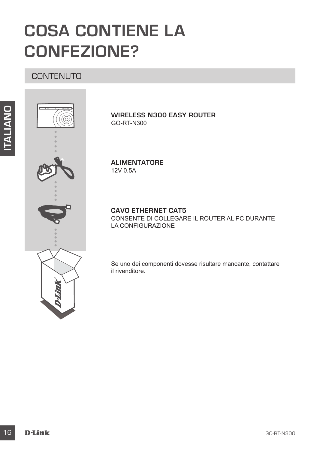# **COSA CONTIENE LA CONFEZIONE?**

**CONTENUTO** 



**WIRELESS N300 EASY ROUTER** GO-RT-N300

**ALIMENTATORE** 12V 0.5A

**CAVO ETHERNET CAT5** CONSENTE DI COLLEGARE IL ROUTER AL PC DURANTE LA CONFIGURAZIONE

Se uno dei componenti dovesse risultare mancante, contattare il rivenditore.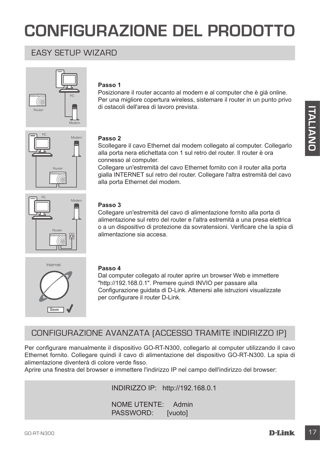# **CONFIGURAZIONE DEL PRODOTTO**

### EASY SETUP WIZARD



#### **Passo 1**

Posizionare il router accanto al modem e al computer che è già online. Per una migliore copertura wireless, sistemare il router in un punto privo di ostacoli dell'area di lavoro prevista.



#### **Passo 2**

Scollegare il cavo Ethernet dal modem collegato al computer. Collegarlo alla porta nera etichettata con 1 sul retro del router. Il router è ora connesso al computer.

Collegare un'estremità del cavo Ethernet fornito con il router alla porta gialla INTERNET sul retro del router. Collegare l'altra estremità del cavo alla porta Ethernet del modem.



#### **Passo 3**

Collegare un'estremità del cavo di alimentazione fornito alla porta di alimentazione sul retro del router e l'altra estremità a una presa elettrica o a un dispositivo di protezione da sovratensioni. Verificare che la spia di alimentazione sia accesa.



#### **Passo 4**

Dal computer collegato al router aprire un browser Web e immettere "http://192.168.0.1". Premere quindi INVIO per passare alla Configurazione guidata di D-Link. Attenersi alle istruzioni visualizzate per configurare il router D-Link.

### CONFIGURAZIONE AVANZATA (ACCESSO TRAMITE INDIRIZZO IP)

The method of the state of the state of the state of the state of the state of the state of the state of the state of the state of the state of the state of the state of the state of the state of the state of the state of Per configurare manualmente il dispositivo GO-RT-N300, collegarlo al computer utilizzando il cavo Ethernet fornito. Collegare quindi il cavo di alimentazione del dispositivo GO-RT-N300. La spia di alimentazione diventerà di colore verde fisso.

Aprire una finestra del browser e immettere l'indirizzo IP nel campo dell'indirizzo del browser:

#### INDIRIZZO IP: http://192.168.0.1

NOME UTENTE: Admin PASSWORD: [vuoto]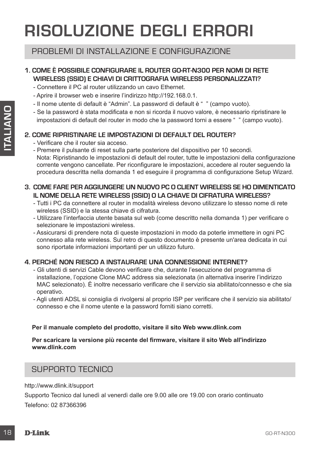# **RISOLUZIONE DEGLI ERRORI**

### PROBLEMI DI INSTALLAZIONE E CONFIGURAZIONE

#### **1. COME È POSSIBILE CONFIGURARE IL ROUTER GO-RT-N300 PER NOMI DI RETE WIRELESS (SSID) E CHIAVI DI CRITTOGRAFIA WIRELESS PERSONALIZZATI?**

- Connettere il PC al router utilizzando un cavo Ethernet.
- Aprire il browser web e inserire l'indirizzo http://192.168.0.1.
- Il nome utente di default è "Admin". La password di default è " " (campo vuoto).
- Se la password è stata modificata e non si ricorda il nuovo valore, è necessario ripristinare le impostazioni di default del router in modo che la password torni a essere " " (campo vuoto).

#### **2. COME RIPRISTINARE LE IMPOSTAZIONI DI DEFAULT DEL ROUTER?**

- Verificare che il router sia acceso.
- Premere il pulsante di reset sulla parte posteriore del dispositivo per 10 secondi. Nota: Ripristinando le impostazioni di default del router, tutte le impostazioni della configurazione corrente vengono cancellate. Per riconfigurare le impostazioni, accedere al router seguendo la procedura descritta nella domanda 1 ed eseguire il programma di configurazione Setup Wizard.

#### **3. COME FARE PER AGGIUNGERE UN NUOVO PC O CLIENT WIRELESS SE HO DIMENTICATO IL NOME DELLA RETE WIRELESS (SSID) O LA CHIAVE DI CIFRATURA WIRELESS?**

- Tutti i PC da connettere al router in modalità wireless devono utilizzare lo stesso nome di rete wireless (SSID) e la stessa chiave di cifratura.
- Utilizzare l'interfaccia utente basata sul web (come descritto nella domanda 1) per verificare o selezionare le impostazioni wireless.
- Assicurarsi di prendere nota di queste impostazioni in modo da poterle immettere in ogni PC connesso alla rete wireless. Sul retro di questo documento è presente un'area dedicata in cui sono riportate informazioni importanti per un utilizzo futuro.

#### **4. PERCHÉ NON RIESCO A INSTAURARE UNA CONNESSIONE INTERNET?**

- 19 Ge is password e sitat modificata a non si ricorda il nuovo valore, è necessario repristinare la mostro de sitat modificata a non si ricorda il nuovo valore.<br>
2. COME RIPRISTINARE LE IMPOSTAZIONI DI DEFAULT DEL ROUTER - Gli utenti di servizi Cable devono verificare che, durante l'esecuzione del programma di installazione, l'opzione Clone MAC address sia selezionata (in alternativa inserire l'indirizzo MAC selezionato). È inoltre necessario verificare che il servizio sia abilitato/connesso e che sia operativo.
	- Agli utenti ADSL si consiglia di rivolgersi al proprio ISP per verificare che il servizio sia abilitato/ connesso e che il nome utente e la password forniti siano corretti.

#### **Per il manuale completo del prodotto, visitare il sito Web www.dlink.com**

#### **Per scaricare la versione più recente del firmware, visitare il sito Web all'indirizzo www.dlink.com**

#### SUPPORTO TECNICO

http://www.dlink.it/support

Supporto Tecnico dal lunedì al venerdì dalle ore 9.00 alle ore 19.00 con orario continuato Telefono: 02 87366396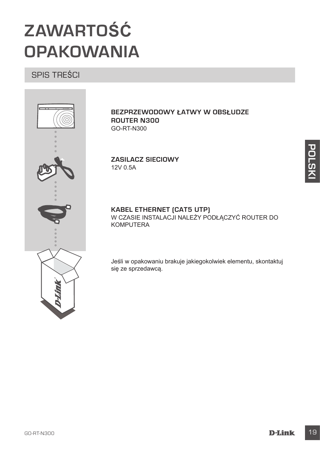# **ZAWARTOŚĆ OPAKOWANIA**

SPIS TREŚCI



**BEZPRZEWODOWY ŁATWY W OBSŁUDZE ROUTER N300** GO-RT-N300

**ZASILACZ SIECIOWY** 12V 0.5A

# **KABEL ETHERNET (CAT5 UTP)**

W CZASIE INSTALACJI NALEŻY PODŁĄCZYĆ ROUTER DO KOMPUTERA

Jeśli w opakowaniu brakuje jakiegokolwiek elementu, skontaktuj się ze sprzedawcą.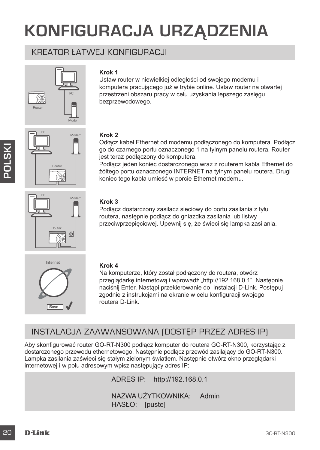# **KONFIGURACJA URZĄDZENIA**

### KREATOR ŁATWEJ KONFIGURACJI



#### **Krok 1**

Ustaw router w niewielkiej odległości od swojego modemu i komputera pracującego już w trybie online. Ustaw router na otwartej przestrzeni obszaru pracy w celu uzyskania lepszego zasięgu bezprzewodowego.





#### **Krok 2**

Odłącz kabel Ethernet od modemu podłączonego do komputera. Podłącz go do czarnego portu oznaczonego 1 na tylnym panelu routera. Router jest teraz podłączony do komputera.

Podłącz jeden koniec dostarczonego wraz z routerem kabla Ethernet do żółtego portu oznaczonego INTERNET na tylnym panelu routera. Drugi koniec tego kabla umieść w porcie Ethernet modemu.



#### **Krok 3**

Podłącz dostarczony zasilacz sieciowy do portu zasilania z tyłu routera, następnie podłącz do gniazdka zasilania lub listwy przeciwprzepięciowej. Upewnij się, że świeci się lampka zasilania.



#### **Krok 4**

Na komputerze, który został podłączony do routera, otwórz przeglądarkę internetową i wprowadź "http://192.168.0.1". Następnie naciśnij Enter. Nastąpi przekierowanie do instalacji D-Link. Postępuj zgodnie z instrukcjami na ekranie w celu konfiguracji swojego routera D-Link.

# INSTALACJA ZAAWANSOWANA (DOSTĘP PRZEZ ADRES IP)

Example the teraz podagrapy of the computer at a tyley product and the podagrapy of the polagrapy of the polagrapy and the polagrapy and the polagrapy and the computer at the polagrapy and the computer and the computer at Aby skonfigurować router GO-RT-N300 podłącz komputer do routera GO-RT-N300, korzystając z dostarczonego przewodu ethernetowego. Następnie podłącz przewód zasilający do GO-RT-N300. Lampka zasilania zaświeci się stałym zielonym światłem. Następnie otwórz okno przeglądarki internetowej i w polu adresowym wpisz następujący adres IP:

ADRES IP: http://192.168.0.1

NAZWA UŻYTKOWNIKA: Admin HASŁO: [puste]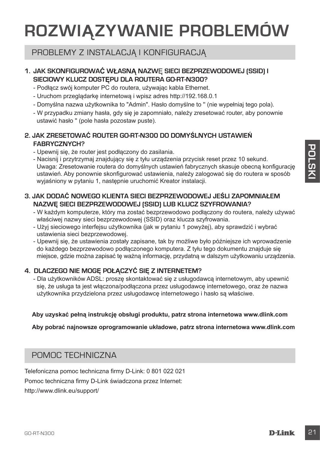# **ROZWIĄZYWANIE PROBLEMÓW**

### PROBLEMY Z INSTALACJĄ I KONFIGURACJĄ

#### **1. JAK SKONFIGUROWAĆ WŁASNĄ NAZW**Ę **SIECI BEZPRZEWODOWEJ (SSID) I SIECIOWY KLUCZ DOSTĘPU DLA ROUTERA GO-RT-N300?**

- Podłącz swój komputer PC do routera, używając kabla Ethernet.
- Uruchom przeglądarkę internetową i wpisz adres http://192.168.0.1
- Domyślna nazwa użytkownika to "Admin". Hasło domyślne to '' (nie wypełniaj tego pola).
- W przypadku zmiany hasła, gdy się je zapomniało, należy zresetować router, aby ponownie ustawić hasło '' (pole hasła pozostaw puste).

#### **2. JAK ZRESETOWAĆ ROUTER GO-RT-N300 DO DOMYŚLNYCH USTAWIEŃ FABRYCZNYCH?**

- Upewnij się, że router jest podłączony do zasilania.
- Function of the could protocomputer and consideration provide and consideration of the consideration of the consideration of the consideration of the consideration of the consideration of the consideration of the considera - Nacisnij i przytrzymaj znajdujący się z tyłu urządzenia przycisk reset przez 10 sekund. Uwaga: Zresetowanie routera do domyślnych ustawień fabrycznych skasuje obecną konfigurację ustawień. Aby ponownie skonfigurować ustawienia, należy zalogować się do routera w sposób wyjaśniony w pytaniu 1, następnie uruchomić Kreator instalacji.

#### **3. JAK DODAĆ NOWEGO KLIENTA SIECI BEZPRZEWODOWEJ JEŚLI ZAPOMNIAŁEM NAZWĘ SIECI BEZPRZEWODOWEJ (SSID) LUB KLUCZ SZYFROWANIA?**

- W każdym komputerze, który ma zostać bezprzewodowo podłączony do routera, należy używać właściwej nazwy sieci bezprzewodowej (SSID) oraz klucza szyfrowania.
- Użyj sieciowego interfejsu użytkownika (jak w pytaniu 1 powyżej), aby sprawdzić i wybrać ustawienia sieci bezprzewodowej.
- Upewnij się, że ustawienia zostały zapisane, tak by możliwe było późniejsze ich wprowadzenie do każdego bezprzewodowo podłączonego komputera. Z tyłu tego dokumentu znajduje się miejsce, gdzie można zapisać tę ważną informację, przydatną w dalszym użytkowaniu urządzenia.

#### **4. DLACZEGO NIE MOGĘ POŁĄCZYĆ SIĘ Z INTERNETEM?**

- Dla użytkowników ADSL: proszę skontaktować się z usługodawcą internetowym, aby upewnić się, że usługa ta jest włączona/podłączona przez usługodawcę internetowego, oraz że nazwa użytkownika przydzielona przez usługodawcę internetowego i hasło są właściwe.

#### **Aby uzyskać pełną instrukcję obsługi produktu, patrz strona internetowa www.dlink.com**

**Aby pobrać najnowsze oprogramowanie układowe, patrz strona internetowa www.dlink.com**

### POMOC TECHNICZNA

Telefoniczna pomoc techniczna firmy D-Link: 0 801 022 021

Pomoc techniczna firmy D-Link świadczona przez Internet:

http://www.dlink.eu/support/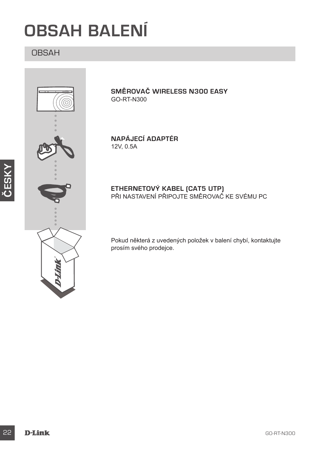# **OBSAH BALENÍ**

# OBSAH



**ČESKY**

**SMĚROVAČ WIRELESS N300 EASY** GO-RT-N300

**NAPÁJECÍ ADAPTÉR** 12V, 0.5A

#### **ETHERNETOVÝ KABEL (CAT5 UTP)** PRI NASTAVENÍ PRIPOJTE SMEROVAČ KE SVÉMU PC

Pokud některá z uvedených položek v balení chybí, kontaktujte prosím svého prodejce.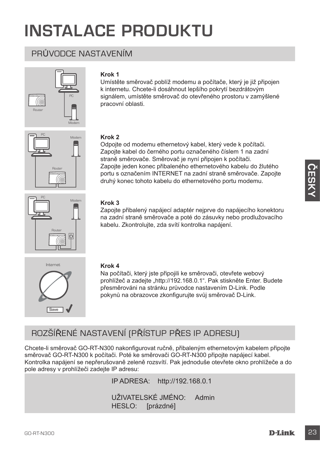# **INSTALACE PRODUKTU**

# PRŮVODCE NASTAVENÍM



#### **Krok 1**

Umístěte směrovač poblíž modemu a počítače, který je již připojen k internetu. Chcete-li dosáhnout lepšího pokrytí bezdrátovým signálem, umístěte směrovač do otevřeného prostoru v zamýšlené pracovní oblasti.



#### **Krok 2**

Odpojte od modemu ethernetový kabel, který vede k počítači. Zapojte kabel do černého portu označeného číslem 1 na zadní straně směrovače. Směrovač je nyní připojen k počítači. Zapojte jeden konec přibaleného ethernetového kabelu do žlutého portu s označením INTERNET na zadní straně směrovače. Zapojte druhý konec tohoto kabelu do ethernetového portu modemu.



#### **Krok 3**

Zapojte přibalený napájecí adaptér nejprve do napájecího konektoru na zadní straně směrovače a poté do zásuvky nebo prodlužovacího kabelu. Zkontrolujte, zda svítí kontrolka napájení.



#### **Krok 4**

Na počítači, který jste připojili ke směrovači, otevřete webový prohlížeč a zadejte "http://192.168.0.1". Pak stiskněte Enter. Budete přesměrováni na stránku průvodce nastavením D-Link. Podle pokynů na obrazovce zkonfigurujte svůj směrovač D-Link.

# ROZŠÍŘENÉ NASTAVENÍ (PŘÍSTUP PŘES IP ADRESU)

Chcete-li směrovač GO-RT-N300 nakonfigurovat ručně, přibaleným ethernetovým kabelem připojte směrovač GO-RT-N300 k počítači. Poté ke směrovači GO-RT-N300 připojte napájecí kabel. Kontrolka napájení se nepřerušovaně zeleně rozsvítí. Pak jednoduše otevřete okno prohlížeče a do pole adresy v prohlížeči zadejte IP adresu:

IP ADRESA: http://192.168.0.1

UŽIVATELSKÉ JMÉNO: Admin HESLO: [prázdné]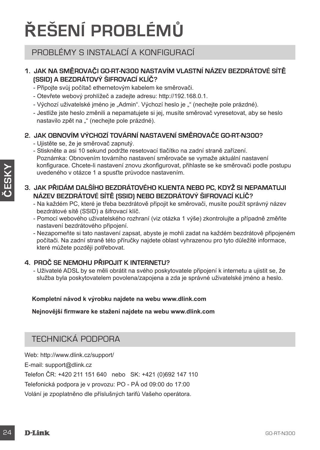# **ŘEŠENÍ PROBLÉMŮ**

### PROBLÉMY S INSTALACÍ A KONFIGURACÍ

#### **1. JAK NA SMĚROVAČI GO-RT-N300 NASTAVÍM VLASTNÍ NÁZEV BEZDRÁTOVÉ SÍTĚ (SSID) A BEZDRÁTOVÝ ŠIFROVACÍ KLÍČ?**

- Připojte svůj počítač ethernetovým kabelem ke směrovači.
- Otevřete webový prohlížeč a zadejte adresu: http://192.168.0.1.
- Výchozí uživatelské jméno je "Admin". Výchozí heslo je "" (nechejte pole prázdné).
- Jestliže jste heslo změnili a nepamatujete si jej, musíte směrovač vyresetovat, aby se heslo nastavilo zpět na "" (nechejte pole prázdné).

#### **2. JAK OBNOVÍM VÝCHOZÍ TOVÁRNÍ NASTAVENÍ SMĚROVAČE GO-RT-N300?**

- Ujistěte se, že je směrovač zapnutý.
- Stiskněte a asi 10 sekund podržte resetovací tlačítko na zadní straně zařízení. Poznámka: Obnovením továrního nastavení směrovače se vymaže aktuální nastavení konfigurace. Chcete-li nastavení znovu zkonfigurovat, přihlaste se ke směrovači podle postupu uvedeného v otázce 1 a spusťte průvodce nastavením.

#### **3. JAK PŘIDÁM DALŠÍHO BEZDRÁTOVÉHO KLIENTA NEBO PC, KDYŽ SI NEPAMATUJI NÁZEV BEZDRÁTOVÉ SÍTĚ (SSID) NEBO BEZDRÁTOVÝ ŠIFROVACÍ KLÍČ?**

- Na každém PC, které je třeba bezdrátově připojit ke směrovači, musíte použít správný název bezdrátové sítě (SSID) a šifrovací klíč.
- Pomocí webového uživatelského rozhraní (viz otázka 1 výše) zkontrolujte a případně změňte nastavení bezdrátového připojení.
- Nezapomeňte si tato nastavení zapsat, abyste je mohli zadat na každém bezdrátově připojeném počítači. Na zadní straně této příručky najdete oblast vyhrazenou pro tyto důležité informace, které můžete později potřebovat.

#### **4. PROČ SE NEMOHU PŘIPOJIT K INTERNETU?**

- Uživatelé ADSL by se měli obrátit na svého poskytovatele připojení k internetu a ujistit se, že služba byla poskytovatelem povolena/zapojena a zda je správné uživatelské jméno a heslo.

#### **Kompletní návod k výrobku najdete na webu www.dlink.com**

**Nejnovější firmware ke stažení najdete na webu www.dlink.com**

### TECHNICKÁ PODPORA

Web: http://www.dlink.cz/support/ E-mail: support@dlink.cz Telefon ČR: +420 211 151 640 nebo SK: +421 (0)692 147 110 Telefonická podpora je v provozu: PO - PÁ od 09:00 do 17:00 Volání je zpoplatněno dle příslušných tarifů Vašeho operátora.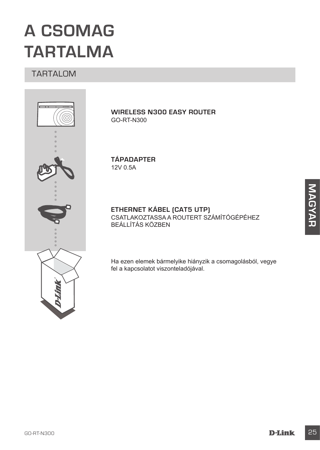# **A CSOMAG TARTALMA**

### TARTALOM



**WIRELESS N300 EASY ROUTER** GO-RT-N300

**TÁPADAPTER** 12V 0.5A

**ETHERNET KÁBEL (CAT5 UTP)** CSATLAKOZTASSA A ROUTERT SZÁMÍTÓGÉPÉHEZ BEÁLLÍTÁS KÖZBEN

Ha ezen elemek bármelyike hiányzik a csomagolásból, vegye fel a kapcsolatot viszonteladójával.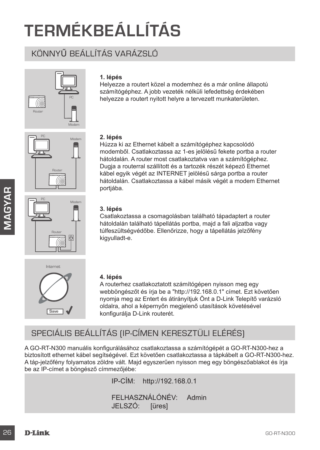# **TERMÉKBEÁLLÍTÁS**

# KÖNNYŰ BEÁLLÍTÁS VARÁZSLÓ







#### **1. lépés**

Helyezze a routert közel a modemhez és a már online állapotú számítógéphez. A jobb vezeték nélküli lefedettség érdekében helyezze a routert nyitott helyre a tervezett munkaterületen.

#### **2. lépés**

Húzza ki az Ethernet kábelt a számítógéphez kapcsolódó modemből. Csatlakoztassa az 1-es jelölésű fekete portba a router hátoldalán. A router most csatlakoztatva van a számítógéphez. Dugja a routerral szállított és a tartozék részét képező Ethernet kábel egyik végét az INTERNET jelölésű sárga portba a router hátoldalán. Csatlakoztassa a kábel másik végét a modem Ethernet portjába.

#### **3. lépés**

Csatlakoztassa a csomagolásban található tápadaptert a router hátoldalán található tápellátás portba, majd a fali aljzatba vagy túlfeszültségvédőbe. Ellenőrizze, hogy a tápellátás jelzőfény kigyulladt-e.



#### **4. lépés**

A routerhez csatlakoztatott számítógépen nyisson meg egy webböngészőt és írja be a "http://192.168.0.1" címet. Ezt követően nyomja meg az Entert és átirányítjuk Önt a D-Link Telepítő varázsló oldalra, ahol a képernyőn megjelenő utasítások követésével konfigurálja D-Link routerét.

# SPECIÁLIS BEÁLLÍTÁS (IP-CÍMEN KERESZTÜLI ELÉRÉS)

Formation and the state of the state of the state of the state of the state of the state of the state of the state of the state of the state of the state of the state of the state of the state of the state of the state of A GO-RT-N300 manuális konfigurálásához csatlakoztassa a számítógépét a GO-RT-N300-hez a biztosított ethernet kábel segítségével. Ezt követően csatlakoztassa a tápkábelt a GO-RT-N300-hez. A táp-jelzőfény folyamatos zöldre vált. Majd egyszerűen nyisson meg egy böngészőablakot és írja be az IP-címet a böngésző címmezőjébe:

IP-CÍM: http://192.168.0.1 FELHASZNÁLÓNÉV: Admin JELSZÓ: [üres]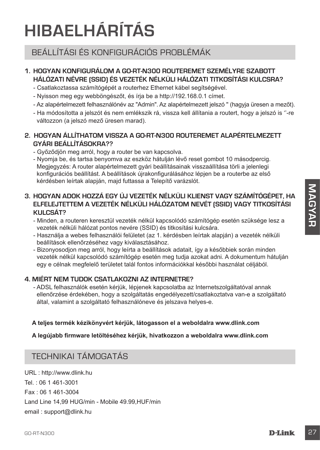# **HIBAELHÁRÍTÁS**

# BEÁLLÍTÁSI ÉS KONFIGURÁCIÓS PROBLÉMÁK

#### **1. HOGYAN KONFIGURÁLOM A GO-RT-N300 ROUTEREMET SZEMÉLYRE SZABOTT HÁLÓZATI NÉVRE (SSID) ÉS VEZETÉK NÉLKÜLI HÁLÓZATI TITKOSÍTÁSI KULCSRA?**

- Csatlakoztassa számítógépét a routerhez Ethernet kábel segítségével.
- Nyisson meg egy webböngészőt, és írja be a http://192.168.0.1 címet.
- Az alapértelmezett felhasználónév az "Admin". Az alapértelmezett jelszó '' (hagyja üresen a mezőt).
- Ha módosította a jelszót és nem emlékszik rá, vissza kell állítania a routert, hogy a jelszó is ''-re változzon (a jelszó mező üresen marad).

#### **2. HOGYAN ÁLLÍTHATOM VISSZA A GO-RT-N300 ROUTEREMET ALAPÉRTELMEZETT GYÁRI BEÁLLÍTÁSOKRA??**

- Győződjön meg arról, hogy a router be van kapcsolva.
- Nyomja be, és tartsa benyomva az eszköz hátulján lévő reset gombot 10 másodpercig. Megjegyzés: A router alapértelmezett gyári beállításainak visszaállítása törli a jelenlegi konfigurációs beállítást. A beállítások újrakonfigurálásához lépjen be a routerbe az első kérdésben leírtak alapján, majd futtassa a Telepítő varázslót.

# **G. HOGYAN ADDK HOZZÁ EGY ÚJ VEZETÉK NÉLKÜLI KLIENST VAGY SZÁMÍTŐGÉPET, HA<br>
ELFELSITETTEM A VEZETÉK NÉLKÜLI HÁLÓZATOM NEVÉT (SSID) VAGY TITKOSÍTÁSI<br>
- Minden a contenent kenezüli vezetlék nelküli kapcsolódó számítógép ese 3. HOGYAN ADOK HOZZÁ EGY ÚJ VEZETÉK NÉLKÜLI KLIENST VAGY SZÁMÍTÓGÉPET, HA ELFELEJTETTEM A VEZETÉK NÉLKÜLI HÁLÓZATOM NEVÉT (SSID) VAGY TITKOSÍTÁSI KULCSÁT?**

- Minden, a routeren keresztül vezeték nélkül kapcsolódó számítógép esetén szüksége lesz a vezeték nélküli hálózat pontos nevére (SSID) és titkosítási kulcsára.
- Használja a webes felhasználói felületet (az 1. kérdésben leírtak alapján) a vezeték nélküli beállítások ellenőrzéséhez vagy kiválasztásához.
- Bizonyosodjon meg arról, hogy leírta a beállítások adatait, így a későbbiek során minden vezeték nélkül kapcsolódó számítógép esetén meg tudja azokat adni. A dokumentum hátulján egy e célnak megfelelő területet talál fontos információkkal későbbi használat céljából.

#### **4. MIÉRT NEM TUDOK CSATLAKOZNI AZ INTERNETRE?**

- ADSL felhasználók esetén kérjük, lépjenek kapcsolatba az Internetszolgáltatóval annak ellenőrzése érdekében, hogy a szolgáltatás engedélyezett/csatlakoztatva van-e a szolgáltató által, valamint a szolgáltató felhasználóneve és jelszava helyes-e.

#### **A teljes termék kézikönyvért kérjük, látogasson el a weboldalra www.dlink.com**

#### **A legújabb firmware letöltéséhez kérjük, hivatkozzon a weboldalra www.dlink.com**

# TECHNIKAI TÁMOGATÁS

URL : http://www.dlink.hu Tel. : 06 1 461-3001 Fax : 06 1 461-3004 Land Line 14,99 HUG/min - Mobile 49.99,HUF/min email : support@dlink.hu